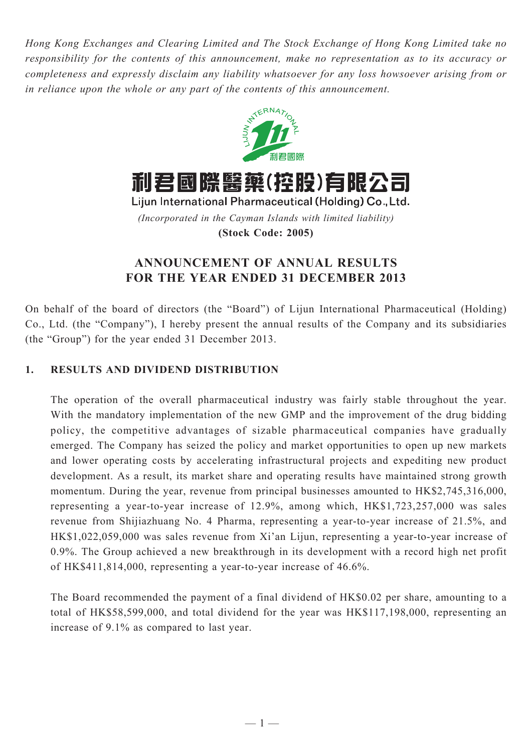*Hong Kong Exchanges and Clearing Limited and The Stock Exchange of Hong Kong Limited take no responsibility for the contents of this announcement, make no representation as to its accuracy or completeness and expressly disclaim any liability whatsoever for any loss howsoever arising from or in reliance upon the whole or any part of the contents of this announcement.*



利君國際醫藥(控股)有限公司

Lijun International Pharmaceutical (Holding) Co., Ltd. *(Incorporated in the Cayman Islands with limited liability)* **(Stock Code: 2005)**

# **ANNOUNCEMENT OF ANNUAL RESULTS FOR THE YEAR ENDED 31 DECEMBER 2013**

On behalf of the board of directors (the "Board") of Lijun International Pharmaceutical (Holding) Co., Ltd. (the "Company"), I hereby present the annual results of the Company and its subsidiaries (the "Group") for the year ended 31 December 2013.

# **1. RESULTS AND DIVIDEND DISTRIBUTION**

The operation of the overall pharmaceutical industry was fairly stable throughout the year. With the mandatory implementation of the new GMP and the improvement of the drug bidding policy, the competitive advantages of sizable pharmaceutical companies have gradually emerged. The Company has seized the policy and market opportunities to open up new markets and lower operating costs by accelerating infrastructural projects and expediting new product development. As a result, its market share and operating results have maintained strong growth momentum. During the year, revenue from principal businesses amounted to  $HK$2,745,316,000$ , representing a year-to-year increase of 12.9%, among which, HK\$1,723,257,000 was sales revenue from Shijiazhuang No. 4 Pharma, representing a year-to-year increase of 21.5%, and HK\$1,022,059,000 was sales revenue from Xi'an Lijun, representing a year-to-year increase of 0.9%. The Group achieved a new breakthrough in its development with a record high net profit of HK\$411,814,000, representing a year-to-year increase of 46.6%.

The Board recommended the payment of a final dividend of HK\$0.02 per share, amounting to a total of HK\$58,599,000, and total dividend for the year was HK\$117,198,000, representing an increase of 9.1% as compared to last year.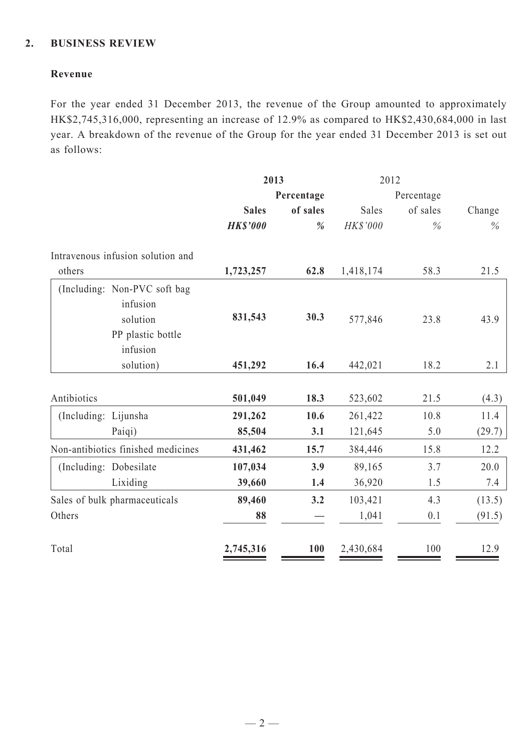## **2. BUSINESS REVIEW**

## **Revenue**

For the year ended 31 December 2013, the revenue of the Group amounted to approximately HK\$2,745,316,000, representing an increase of 12.9% as compared to HK\$2,430,684,000 in last year. A breakdown of the revenue of the Group for the year ended 31 December 2013 is set out as follows:

|                      |                                                                                       | 2013            |          | 2012       |          |        |  |
|----------------------|---------------------------------------------------------------------------------------|-----------------|----------|------------|----------|--------|--|
|                      |                                                                                       | Percentage      |          | Percentage |          |        |  |
|                      |                                                                                       | <b>Sales</b>    | of sales | Sales      | of sales | Change |  |
|                      |                                                                                       | <b>HK\$'000</b> | %        | HK\$'000   | $\%$     | $\%$   |  |
|                      | Intravenous infusion solution and                                                     |                 |          |            |          |        |  |
| others               |                                                                                       | 1,723,257       | 62.8     | 1,418,174  | 58.3     | 21.5   |  |
|                      | (Including: Non-PVC soft bag<br>infusion<br>solution<br>PP plastic bottle<br>infusion | 831,543         | 30.3     | 577,846    | 23.8     | 43.9   |  |
|                      | solution)                                                                             | 451,292         | 16.4     | 442,021    | 18.2     | 2.1    |  |
| Antibiotics          |                                                                                       | 501,049         | 18.3     | 523,602    | 21.5     | (4.3)  |  |
| (Including: Lijunsha |                                                                                       | 291,262         | 10.6     | 261,422    | 10.8     | 11.4   |  |
|                      | Paiqi)                                                                                | 85,504          | 3.1      | 121,645    | 5.0      | (29.7) |  |
|                      | Non-antibiotics finished medicines                                                    | 431,462         | 15.7     | 384,446    | 15.8     | 12.2   |  |
|                      | (Including: Dobesilate                                                                | 107,034         | 3.9      | 89,165     | 3.7      | 20.0   |  |
|                      | Lixiding                                                                              | 39,660          | 1.4      | 36,920     | 1.5      | 7.4    |  |
|                      | Sales of bulk pharmaceuticals                                                         | 89,460          | 3.2      | 103,421    | 4.3      | (13.5) |  |
| Others               |                                                                                       | 88              |          | 1,041      | 0.1      | (91.5) |  |
| Total                |                                                                                       | 2,745,316       | 100      | 2,430,684  | 100      | 12.9   |  |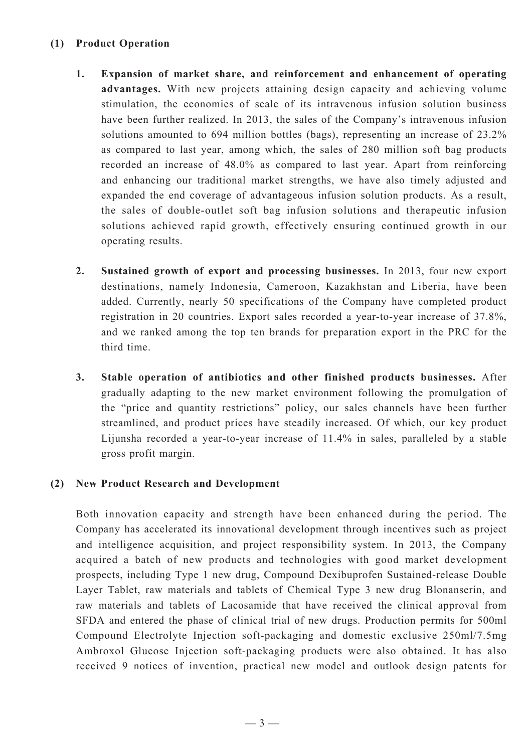## **(1) Product Operation**

- **1. Expansion of market share, and reinforcement and enhancement of operating advantages.** With new projects attaining design capacity and achieving volume stimulation, the economies of scale of its intravenous infusion solution business have been further realized. In 2013, the sales of the Company's intravenous infusion solutions amounted to 694 million bottles (bags), representing an increase of 23.2% as compared to last year, among which, the sales of 280 million soft bag products recorded an increase of 48.0% as compared to last year. Apart from reinforcing and enhancing our traditional market strengths, we have also timely adjusted and expanded the end coverage of advantageous infusion solution products. As a result, the sales of double-outlet soft bag infusion solutions and therapeutic infusion solutions achieved rapid growth, effectively ensuring continued growth in our operating results.
- **2. Sustained growth of export and processing businesses.** In 2013, four new export destinations, namely Indonesia, Cameroon, Kazakhstan and Liberia, have been added. Currently, nearly 50 specifications of the Company have completed product registration in 20 countries. Export sales recorded a year-to-year increase of 37.8%, and we ranked among the top ten brands for preparation export in the PRC for the third time.
- **3. Stable operation of antibiotics and other finished products businesses.** After gradually adapting to the new market environment following the promulgation of the "price and quantity restrictions" policy, our sales channels have been further streamlined, and product prices have steadily increased. Of which, our key product Lijunsha recorded a year-to-year increase of 11.4% in sales, paralleled by a stable gross profit margin.

### **(2) New Product Research and Development**

Both innovation capacity and strength have been enhanced during the period. The Company has accelerated its innovational development through incentives such as project and intelligence acquisition, and project responsibility system. In 2013, the Company acquired a batch of new products and technologies with good market development prospects, including Type 1 new drug, Compound Dexibuprofen Sustained-release Double Layer Tablet, raw materials and tablets of Chemical Type 3 new drug Blonanserin, and raw materials and tablets of Lacosamide that have received the clinical approval from SFDA and entered the phase of clinical trial of new drugs. Production permits for 500ml Compound Electrolyte Injection soft-packaging and domestic exclusive 250ml/7.5mg Ambroxol Glucose Injection soft-packaging products were also obtained. It has also received 9 notices of invention, practical new model and outlook design patents for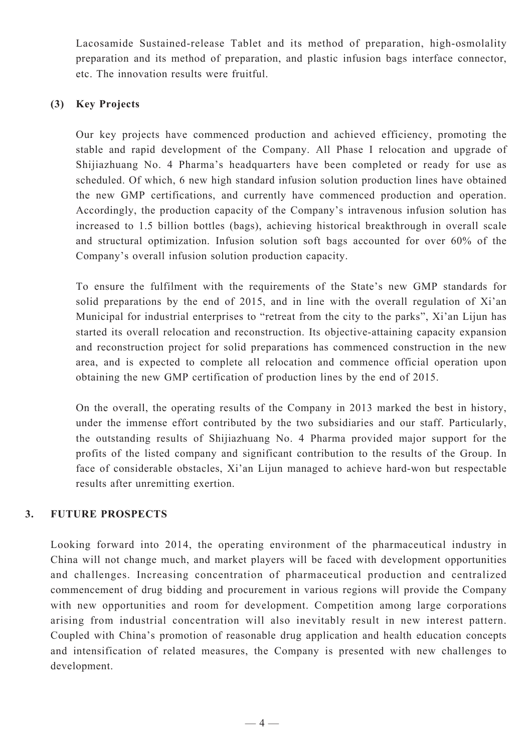Lacosamide Sustained-release Tablet and its method of preparation, high-osmolality preparation and its method of preparation, and plastic infusion bags interface connector, etc. The innovation results were fruitful.

## **(3) Key Projects**

Our key projects have commenced production and achieved efficiency, promoting the stable and rapid development of the Company. All Phase I relocation and upgrade of Shijiazhuang No. 4 Pharma's headquarters have been completed or ready for use as scheduled. Of which, 6 new high standard infusion solution production lines have obtained the new GMP certifications, and currently have commenced production and operation. Accordingly, the production capacity of the Company's intravenous infusion solution has increased to 1.5 billion bottles (bags), achieving historical breakthrough in overall scale and structural optimization. Infusion solution soft bags accounted for over 60% of the Company's overall infusion solution production capacity.

To ensure the fulfilment with the requirements of the State's new GMP standards for solid preparations by the end of 2015, and in line with the overall regulation of Xi'an Municipal for industrial enterprises to "retreat from the city to the parks", Xi'an Lijun has started its overall relocation and reconstruction. Its objective-attaining capacity expansion and reconstruction project for solid preparations has commenced construction in the new area, and is expected to complete all relocation and commence official operation upon obtaining the new GMP certification of production lines by the end of 2015.

On the overall, the operating results of the Company in 2013 marked the best in history, under the immense effort contributed by the two subsidiaries and our staff. Particularly, the outstanding results of Shijiazhuang No. 4 Pharma provided major support for the profits of the listed company and significant contribution to the results of the Group. In face of considerable obstacles, Xi'an Lijun managed to achieve hard-won but respectable results after unremitting exertion.

# **3. FUTURE PROSPECTS**

Looking forward into 2014, the operating environment of the pharmaceutical industry in China will not change much, and market players will be faced with development opportunities and challenges. Increasing concentration of pharmaceutical production and centralized commencement of drug bidding and procurement in various regions will provide the Company with new opportunities and room for development. Competition among large corporations arising from industrial concentration will also inevitably result in new interest pattern. Coupled with China's promotion of reasonable drug application and health education concepts and intensification of related measures, the Company is presented with new challenges to development.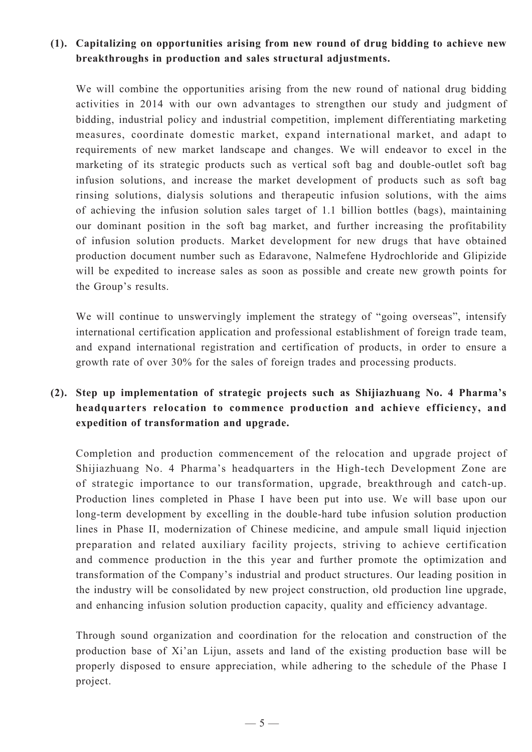# **(1). Capitalizing on opportunities arising from new round of drug bidding to achieve new breakthroughs in production and sales structural adjustments.**

We will combine the opportunities arising from the new round of national drug bidding activities in 2014 with our own advantages to strengthen our study and judgment of bidding, industrial policy and industrial competition, implement differentiating marketing measures, coordinate domestic market, expand international market, and adapt to requirements of new market landscape and changes. We will endeavor to excel in the marketing of its strategic products such as vertical soft bag and double-outlet soft bag infusion solutions, and increase the market development of products such as soft bag rinsing solutions, dialysis solutions and therapeutic infusion solutions, with the aims of achieving the infusion solution sales target of 1.1 billion bottles (bags), maintaining our dominant position in the soft bag market, and further increasing the profitability of infusion solution products. Market development for new drugs that have obtained production document number such as Edaravone, Nalmefene Hydrochloride and Glipizide will be expedited to increase sales as soon as possible and create new growth points for the Group's results.

We will continue to unswervingly implement the strategy of "going overseas", intensify international certification application and professional establishment of foreign trade team, and expand international registration and certification of products, in order to ensure a growth rate of over 30% for the sales of foreign trades and processing products.

# **(2). Step up implementation of strategic projects such as Shijiazhuang No. 4 Pharma's headquarters relocation to commence production and achieve efficiency, and expedition of transformation and upgrade.**

Completion and production commencement of the relocation and upgrade project of Shijiazhuang No. 4 Pharma's headquarters in the High-tech Development Zone are of strategic importance to our transformation, upgrade, breakthrough and catch-up. Production lines completed in Phase I have been put into use. We will base upon our long-term development by excelling in the double-hard tube infusion solution production lines in Phase II, modernization of Chinese medicine, and ampule small liquid injection preparation and related auxiliary facility projects, striving to achieve certification and commence production in the this year and further promote the optimization and transformation of the Company's industrial and product structures. Our leading position in the industry will be consolidated by new project construction, old production line upgrade, and enhancing infusion solution production capacity, quality and efficiency advantage.

Through sound organization and coordination for the relocation and construction of the production base of Xi'an Lijun, assets and land of the existing production base will be properly disposed to ensure appreciation, while adhering to the schedule of the Phase I project.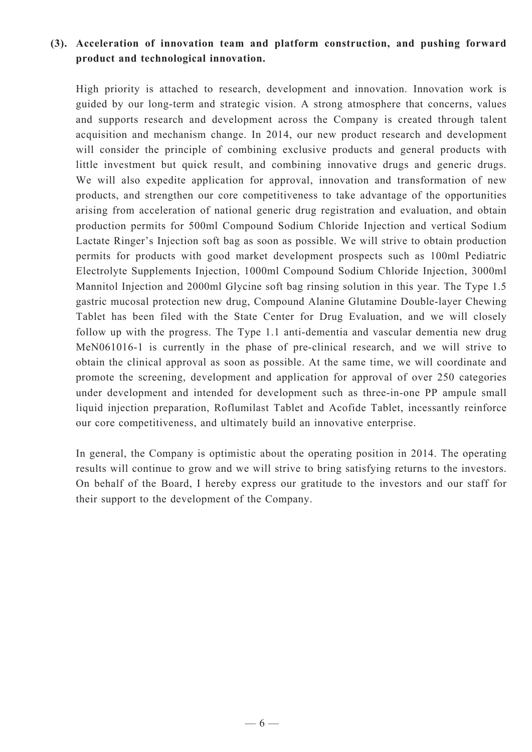# **(3). Acceleration of innovation team and platform construction, and pushing forward product and technological innovation.**

High priority is attached to research, development and innovation. Innovation work is guided by our long-term and strategic vision. A strong atmosphere that concerns, values and supports research and development across the Company is created through talent acquisition and mechanism change. In 2014, our new product research and development will consider the principle of combining exclusive products and general products with little investment but quick result, and combining innovative drugs and generic drugs. We will also expedite application for approval, innovation and transformation of new products, and strengthen our core competitiveness to take advantage of the opportunities arising from acceleration of national generic drug registration and evaluation, and obtain production permits for 500ml Compound Sodium Chloride Injection and vertical Sodium Lactate Ringer's Injection soft bag as soon as possible. We will strive to obtain production permits for products with good market development prospects such as 100ml Pediatric Electrolyte Supplements Injection, 1000ml Compound Sodium Chloride Injection, 3000ml Mannitol Injection and 2000ml Glycine soft bag rinsing solution in this year. The Type 1.5 gastric mucosal protection new drug, Compound Alanine Glutamine Double-layer Chewing Tablet has been filed with the State Center for Drug Evaluation, and we will closely follow up with the progress. The Type 1.1 anti-dementia and vascular dementia new drug MeN061016-1 is currently in the phase of pre-clinical research, and we will strive to obtain the clinical approval as soon as possible. At the same time, we will coordinate and promote the screening, development and application for approval of over 250 categories under development and intended for development such as three-in-one PP ampule small liquid injection preparation, Roflumilast Tablet and Acofide Tablet, incessantly reinforce our core competitiveness, and ultimately build an innovative enterprise.

In general, the Company is optimistic about the operating position in 2014. The operating results will continue to grow and we will strive to bring satisfying returns to the investors. On behalf of the Board, I hereby express our gratitude to the investors and our staff for their support to the development of the Company.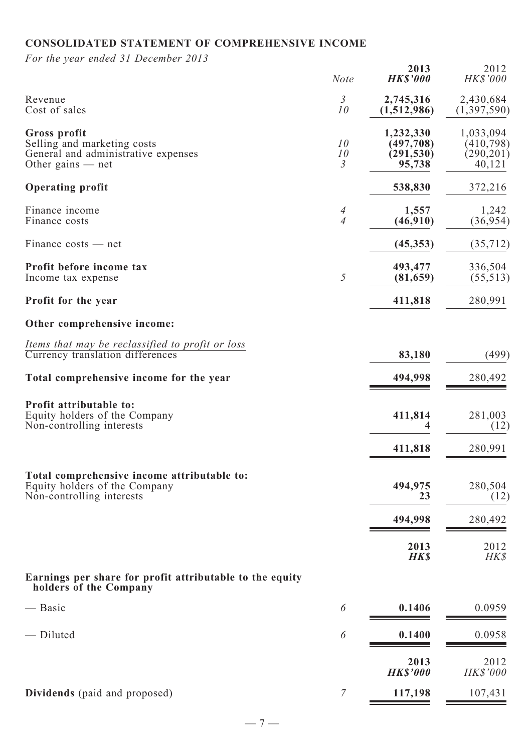# **CONSOLIDATED STATEMENT OF COMPREHENSIVE INCOME**

*For the year ended 31 December 2013*

| For the year ended 31 December 2015                                                                       | <b>Note</b>                | 2013<br><b>HK\$'000</b>                         | 2012<br>HK\$'000                                |
|-----------------------------------------------------------------------------------------------------------|----------------------------|-------------------------------------------------|-------------------------------------------------|
| Revenue<br>Cost of sales                                                                                  | $\mathfrak{Z}$<br>10       | 2,745,316<br>(1,512,986)                        | 2,430,684<br>(1,397,590)                        |
| Gross profit<br>Selling and marketing costs<br>General and administrative expenses<br>Other gains $-$ net | 10<br>10<br>$\mathfrak{Z}$ | 1,232,330<br>(497, 708)<br>(291, 530)<br>95,738 | 1,033,094<br>(410, 798)<br>(290, 201)<br>40,121 |
| <b>Operating profit</b>                                                                                   |                            | 538,830                                         | 372,216                                         |
| Finance income<br>Finance costs                                                                           | 4<br>$\overline{4}$        | 1,557<br>(46,910)                               | 1,242<br>(36, 954)                              |
| $Finance \ costs - net$                                                                                   |                            | (45, 353)                                       | (35, 712)                                       |
| Profit before income tax<br>Income tax expense                                                            | 5                          | 493,477<br>(81, 659)                            | 336,504<br>(55, 513)                            |
| <b>Profit for the year</b>                                                                                |                            | 411,818                                         | 280,991                                         |
| Other comprehensive income:                                                                               |                            |                                                 |                                                 |
| Items that may be reclassified to profit or loss<br>Currency translation differences                      |                            | 83,180                                          | (499)                                           |
| Total comprehensive income for the year                                                                   |                            | 494,998                                         | 280,492                                         |
| Profit attributable to:<br>Equity holders of the Company<br>Non-controlling interests                     |                            | 411,814                                         | 281,003<br>(12)                                 |
|                                                                                                           |                            | 411,818                                         | 280,991                                         |
| Total comprehensive income attributable to:<br>Equity holders of the Company<br>Non-controlling interests |                            | 494,975<br>23                                   | 280,504<br>(12)                                 |
|                                                                                                           |                            | 494,998                                         | 280,492                                         |
|                                                                                                           |                            | 2013<br><b>HKS</b>                              | 2012<br>HK\$                                    |
| Earnings per share for profit attributable to the equity<br>holders of the Company                        |                            |                                                 |                                                 |
| — Basic                                                                                                   | 6                          | 0.1406                                          | 0.0959                                          |
| - Diluted                                                                                                 | 6                          | 0.1400                                          | 0.0958                                          |
|                                                                                                           |                            | 2013<br><b>HK\$'000</b>                         | 2012<br>HK\$'000                                |
| Dividends (paid and proposed)                                                                             | $\overline{7}$             | 117,198                                         | 107,431                                         |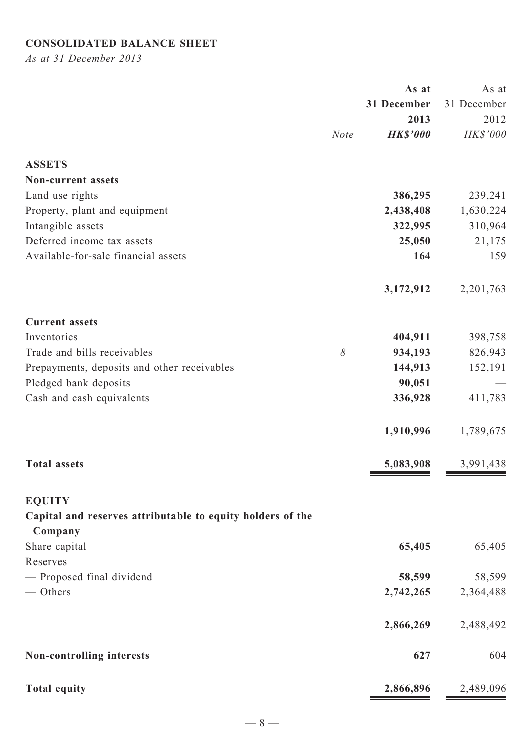# **CONSOLIDATED BALANCE SHEET**

*As at 31 December 2013*

|                                                            |             | As at           | As at       |
|------------------------------------------------------------|-------------|-----------------|-------------|
|                                                            |             | 31 December     | 31 December |
|                                                            |             | 2013            | 2012        |
|                                                            | <b>Note</b> | <b>HK\$'000</b> | HK\$'000    |
| <b>ASSETS</b>                                              |             |                 |             |
| Non-current assets                                         |             |                 |             |
| Land use rights                                            |             | 386,295         | 239,241     |
| Property, plant and equipment                              |             | 2,438,408       | 1,630,224   |
| Intangible assets                                          |             | 322,995         | 310,964     |
| Deferred income tax assets                                 |             | 25,050          | 21,175      |
| Available-for-sale financial assets                        |             | 164             | 159         |
|                                                            |             | 3,172,912       | 2,201,763   |
|                                                            |             |                 |             |
| <b>Current assets</b>                                      |             |                 |             |
| Inventories                                                |             | 404,911         | 398,758     |
| Trade and bills receivables                                | $\delta$    | 934,193         | 826,943     |
| Prepayments, deposits and other receivables                |             | 144,913         | 152,191     |
| Pledged bank deposits                                      |             | 90,051          |             |
| Cash and cash equivalents                                  |             | 336,928         | 411,783     |
|                                                            |             | 1,910,996       | 1,789,675   |
| <b>Total assets</b>                                        |             | 5,083,908       | 3,991,438   |
| <b>EQUITY</b>                                              |             |                 |             |
| Capital and reserves attributable to equity holders of the |             |                 |             |
| Company                                                    |             |                 |             |
| Share capital                                              |             | 65,405          | 65,405      |
| Reserves                                                   |             |                 |             |
| - Proposed final dividend                                  |             | 58,599          | 58,599      |
| - Others                                                   |             | 2,742,265       | 2,364,488   |
|                                                            |             | 2,866,269       | 2,488,492   |
| Non-controlling interests                                  |             | 627             | 604         |
| <b>Total equity</b>                                        |             | 2,866,896       | 2,489,096   |
|                                                            |             |                 |             |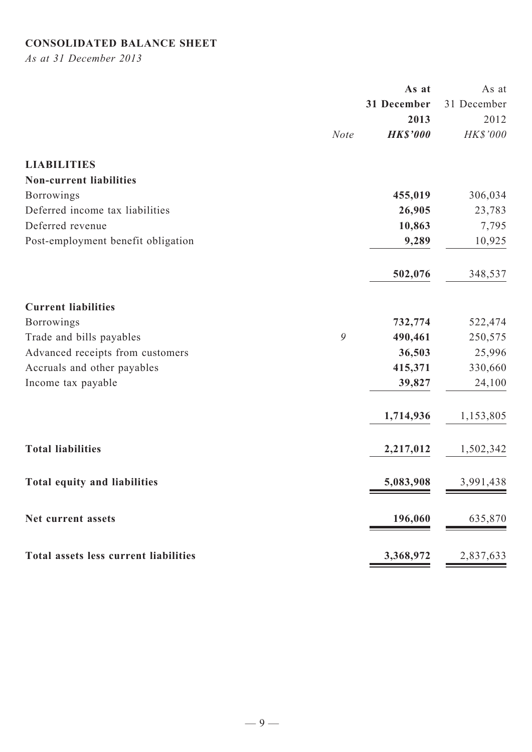# **CONSOLIDATED BALANCE SHEET**

*As at 31 December 2013*

|                                       |             | As at           | As at       |
|---------------------------------------|-------------|-----------------|-------------|
|                                       |             | 31 December     | 31 December |
|                                       |             | 2013            | 2012        |
|                                       | <b>Note</b> | <b>HK\$'000</b> | HK\$'000    |
| <b>LIABILITIES</b>                    |             |                 |             |
| <b>Non-current liabilities</b>        |             |                 |             |
| <b>Borrowings</b>                     |             | 455,019         | 306,034     |
| Deferred income tax liabilities       |             | 26,905          | 23,783      |
| Deferred revenue                      |             | 10,863          | 7,795       |
| Post-employment benefit obligation    |             | 9,289           | 10,925      |
|                                       |             | 502,076         | 348,537     |
| <b>Current liabilities</b>            |             |                 |             |
| <b>Borrowings</b>                     |             | 732,774         | 522,474     |
| Trade and bills payables              | 9           | 490,461         | 250,575     |
| Advanced receipts from customers      |             | 36,503          | 25,996      |
| Accruals and other payables           |             | 415,371         | 330,660     |
| Income tax payable                    |             | 39,827          | 24,100      |
|                                       |             | 1,714,936       | 1,153,805   |
| <b>Total liabilities</b>              |             | 2,217,012       | 1,502,342   |
| Total equity and liabilities          |             | 5,083,908       | 3,991,438   |
| Net current assets                    |             | 196,060         | 635,870     |
| Total assets less current liabilities |             | 3,368,972       | 2,837,633   |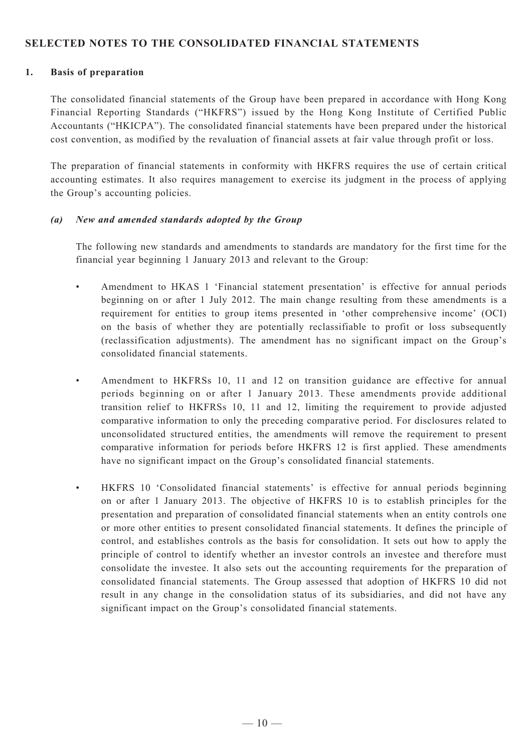### **SELECTED NOTES TO THE CONSOLIDATED FINANCIAL STATEMENTS**

#### **1. Basis of preparation**

The consolidated financial statements of the Group have been prepared in accordance with Hong Kong Financial Reporting Standards ("HKFRS") issued by the Hong Kong Institute of Certified Public Accountants ("HKICPA"). The consolidated financial statements have been prepared under the historical cost convention, as modified by the revaluation of financial assets at fair value through profit or loss.

The preparation of financial statements in conformity with HKFRS requires the use of certain critical accounting estimates. It also requires management to exercise its judgment in the process of applying the Group's accounting policies.

#### *(a) New and amended standards adopted by the Group*

The following new standards and amendments to standards are mandatory for the first time for the financial year beginning 1 January 2013 and relevant to the Group:

- Amendment to HKAS 1 'Financial statement presentation' is effective for annual periods beginning on or after 1 July 2012. The main change resulting from these amendments is a requirement for entities to group items presented in 'other comprehensive income' (OCI) on the basis of whether they are potentially reclassifiable to profit or loss subsequently (reclassification adjustments). The amendment has no significant impact on the Group's consolidated financial statements.
- Amendment to HKFRSs 10, 11 and 12 on transition guidance are effective for annual periods beginning on or after 1 January 2013. These amendments provide additional transition relief to HKFRSs 10, 11 and 12, limiting the requirement to provide adjusted comparative information to only the preceding comparative period. For disclosures related to unconsolidated structured entities, the amendments will remove the requirement to present comparative information for periods before HKFRS 12 is first applied. These amendments have no significant impact on the Group's consolidated financial statements.
- HKFRS 10 'Consolidated financial statements' is effective for annual periods beginning on or after 1 January 2013. The objective of HKFRS 10 is to establish principles for the presentation and preparation of consolidated financial statements when an entity controls one or more other entities to present consolidated financial statements. It defines the principle of control, and establishes controls as the basis for consolidation. It sets out how to apply the principle of control to identify whether an investor controls an investee and therefore must consolidate the investee. It also sets out the accounting requirements for the preparation of consolidated financial statements. The Group assessed that adoption of HKFRS 10 did not result in any change in the consolidation status of its subsidiaries, and did not have any significant impact on the Group's consolidated financial statements.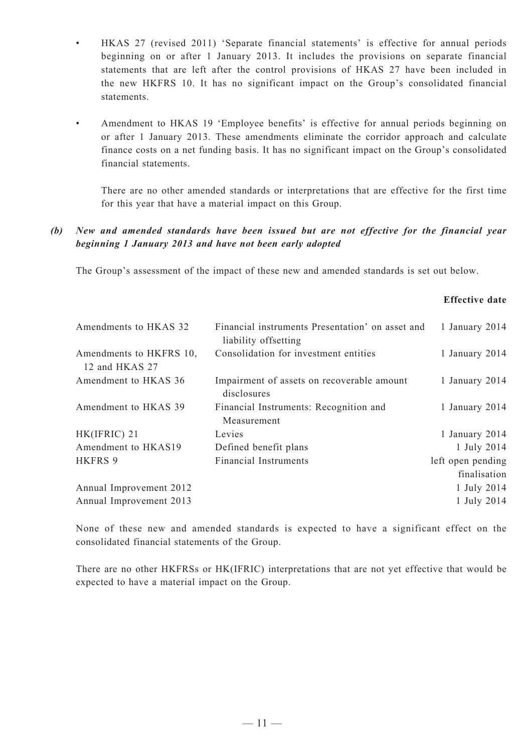- HKAS 27 (revised 2011) 'Separate financial statements' is effective for annual periods beginning on or after 1 January 2013. It includes the provisions on separate financial statements that are left after the control provisions of HKAS 27 have been included in the new HKFRS 10. It has no significant impact on the Group's consolidated financial statements.
- Amendment to HKAS 19 'Employee benefits' is effective for annual periods beginning on or after 1 January 2013. These amendments eliminate the corridor approach and calculate finance costs on a net funding basis. It has no significant impact on the Group's consolidated financial statements.

There are no other amended standards or interpretations that are effective for the first time for this year that have a material impact on this Group.

### *(b) New and amended standards have been issued but are not effective for the financial year beginning 1 January 2013 and have not been early adopted*

The Group's assessment of the impact of these new and amended standards is set out below.

### **Effective date**

| Amendments to HKAS 32                     | Financial instruments Presentation' on asset and<br>liability offsetting | 1 January 2014                    |
|-------------------------------------------|--------------------------------------------------------------------------|-----------------------------------|
| Amendments to HKFRS 10,<br>12 and HKAS 27 | Consolidation for investment entities                                    | 1 January 2014                    |
| Amendment to HKAS 36                      | Impairment of assets on recoverable amount<br>disclosures                | 1 January 2014                    |
| Amendment to HKAS 39                      | Financial Instruments: Recognition and<br>Measurement                    | 1 January 2014                    |
| HK(IFRIC) 21                              | Levies                                                                   | 1 January 2014                    |
| Amendment to HKAS19                       | Defined benefit plans                                                    | 1 July 2014                       |
| <b>HKFRS 9</b>                            | <b>Financial Instruments</b>                                             | left open pending<br>finalisation |
| Annual Improvement 2012                   |                                                                          | 1 July 2014                       |
| Annual Improvement 2013                   |                                                                          | 1 July 2014                       |
|                                           |                                                                          |                                   |

None of these new and amended standards is expected to have a significant effect on the consolidated financial statements of the Group.

There are no other HKFRSs or HK(IFRIC) interpretations that are not yet effective that would be expected to have a material impact on the Group.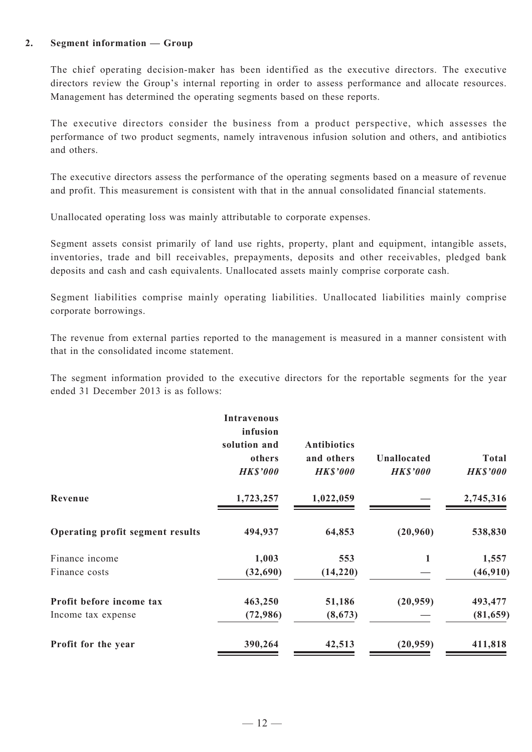#### **2. Segment information — Group**

The chief operating decision-maker has been identified as the executive directors. The executive directors review the Group's internal reporting in order to assess performance and allocate resources. Management has determined the operating segments based on these reports.

The executive directors consider the business from a product perspective, which assesses the performance of two product segments, namely intravenous infusion solution and others, and antibiotics and others.

The executive directors assess the performance of the operating segments based on a measure of revenue and profit. This measurement is consistent with that in the annual consolidated financial statements.

Unallocated operating loss was mainly attributable to corporate expenses.

Segment assets consist primarily of land use rights, property, plant and equipment, intangible assets, inventories, trade and bill receivables, prepayments, deposits and other receivables, pledged bank deposits and cash and cash equivalents. Unallocated assets mainly comprise corporate cash.

Segment liabilities comprise mainly operating liabilities. Unallocated liabilities mainly comprise corporate borrowings.

The revenue from external parties reported to the management is measured in a manner consistent with that in the consolidated income statement.

The segment information provided to the executive directors for the reportable segments for the year ended 31 December 2013 is as follows:

|                                  | <b>Intravenous</b><br>infusion<br>solution and<br>others<br><b>HK\$'000</b> | <b>Antibiotics</b><br>and others<br><b>HK\$'000</b> | <b>Unallocated</b><br><b>HK\$'000</b> | <b>Total</b><br><b>HK\$'000</b> |
|----------------------------------|-----------------------------------------------------------------------------|-----------------------------------------------------|---------------------------------------|---------------------------------|
| Revenue                          | 1,723,257                                                                   | 1,022,059                                           |                                       | 2,745,316                       |
| Operating profit segment results | 494,937                                                                     | 64,853                                              | (20,960)                              | 538,830                         |
| Finance income                   | 1,003                                                                       | 553                                                 | 1                                     | 1,557                           |
| Finance costs                    | (32, 690)                                                                   | (14,220)                                            |                                       | (46, 910)                       |
| Profit before income tax         | 463,250                                                                     | 51,186                                              | (20, 959)                             | 493,477                         |
| Income tax expense               | (72, 986)                                                                   | (8, 673)                                            |                                       | (81, 659)                       |
| Profit for the year              | 390,264                                                                     | 42,513                                              | (20, 959)                             | 411,818                         |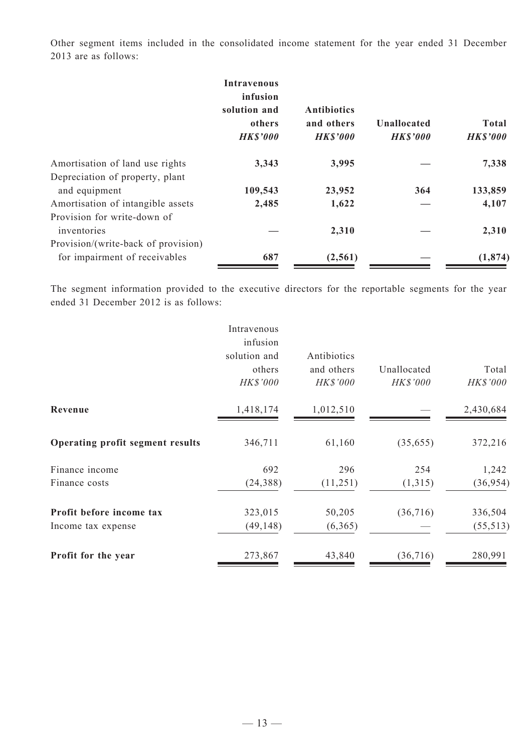Other segment items included in the consolidated income statement for the year ended 31 December 2013 are as follows:

|                                                                      | <b>Intravenous</b><br>infusion<br>solution and<br>others<br><b>HK\$'000</b> | <b>Antibiotics</b><br>and others<br><b>HK\$'000</b> | <b>Unallocated</b><br><b>HK\$'000</b> | <b>Total</b><br><b>HK\$'000</b> |
|----------------------------------------------------------------------|-----------------------------------------------------------------------------|-----------------------------------------------------|---------------------------------------|---------------------------------|
| Amortisation of land use rights<br>Depreciation of property, plant   | 3,343                                                                       | 3,995                                               |                                       | 7,338                           |
| and equipment                                                        | 109,543                                                                     | 23,952                                              | 364                                   | 133,859                         |
| Amortisation of intangible assets                                    | 2,485                                                                       | 1,622                                               |                                       | 4,107                           |
| Provision for write-down of<br>inventories                           |                                                                             | 2,310                                               |                                       | 2,310                           |
| Provision/(write-back of provision)<br>for impairment of receivables | 687                                                                         | (2,561)                                             |                                       | (1, 874)                        |

The segment information provided to the executive directors for the reportable segments for the year ended 31 December 2012 is as follows:

|                                         | Intravenous<br>infusion<br>solution and<br>others<br>HK\$'000 | Antibiotics<br>and others<br>HK\$'000 | Unallocated<br>HK\$'000 | Total<br>HK\$'000 |
|-----------------------------------------|---------------------------------------------------------------|---------------------------------------|-------------------------|-------------------|
| Revenue                                 | 1,418,174                                                     | 1,012,510                             |                         | 2,430,684         |
| <b>Operating profit segment results</b> | 346,711                                                       | 61,160                                | (35,655)                | 372,216           |
| Finance income                          | 692                                                           | 296                                   | 254                     | 1,242             |
| Finance costs                           | (24, 388)                                                     | (11,251)                              | (1,315)                 | (36, 954)         |
| Profit before income tax                | 323,015                                                       | 50,205                                | (36,716)                | 336,504           |
| Income tax expense                      | (49, 148)                                                     | (6,365)                               |                         | (55, 513)         |
| Profit for the year                     | 273,867                                                       | 43,840                                | (36, 716)               | 280,991           |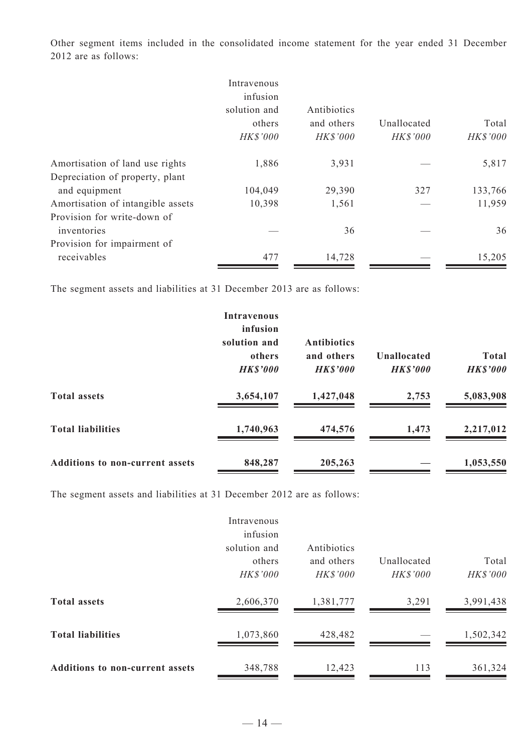Other segment items included in the consolidated income statement for the year ended 31 December 2012 are as follows:

|                                   | Intravenous<br>infusion            |                                              |                                |                   |
|-----------------------------------|------------------------------------|----------------------------------------------|--------------------------------|-------------------|
|                                   | solution and<br>others<br>HK\$'000 | Antibiotics<br>and others<br><b>HK\$'000</b> | Unallocated<br><b>HK\$'000</b> | Total<br>HK\$'000 |
| Amortisation of land use rights   | 1,886                              | 3,931                                        |                                | 5,817             |
| Depreciation of property, plant   |                                    |                                              |                                |                   |
| and equipment                     | 104,049                            | 29,390                                       | 327                            | 133,766           |
| Amortisation of intangible assets | 10,398                             | 1,561                                        |                                | 11,959            |
| Provision for write-down of       |                                    |                                              |                                |                   |
| inventories                       |                                    | 36                                           |                                | 36                |
| Provision for impairment of       |                                    |                                              |                                |                   |
| receivables                       | 477                                | 14,728                                       |                                | 15,205            |

The segment assets and liabilities at 31 December 2013 are as follows:

|                                        | <b>Intravenous</b><br>infusion<br>solution and<br>others<br><b>HK\$'000</b> | <b>Antibiotics</b><br>and others<br><b>HK\$'000</b> | Unallocated<br><b>HK\$'000</b> | <b>Total</b><br><b>HK\$'000</b> |
|----------------------------------------|-----------------------------------------------------------------------------|-----------------------------------------------------|--------------------------------|---------------------------------|
| <b>Total assets</b>                    | 3,654,107                                                                   | 1,427,048                                           | 2,753                          | 5,083,908                       |
| <b>Total liabilities</b>               | 1,740,963                                                                   | 474,576                                             | 1,473                          | 2,217,012                       |
| <b>Additions to non-current assets</b> | 848,287                                                                     | 205,263                                             |                                | 1,053,550                       |

The segment assets and liabilities at 31 December 2012 are as follows:

|                                        | Intravenous<br>infusion            |                                       |                         |                   |
|----------------------------------------|------------------------------------|---------------------------------------|-------------------------|-------------------|
|                                        | solution and<br>others<br>HK\$'000 | Antibiotics<br>and others<br>HK\$'000 | Unallocated<br>HK\$'000 | Total<br>HK\$'000 |
| <b>Total assets</b>                    | 2,606,370                          | 1,381,777                             | 3,291                   | 3,991,438         |
| <b>Total liabilities</b>               | 1,073,860                          | 428,482                               |                         | 1,502,342         |
| <b>Additions to non-current assets</b> | 348,788                            | 12,423                                | 113                     | 361,324           |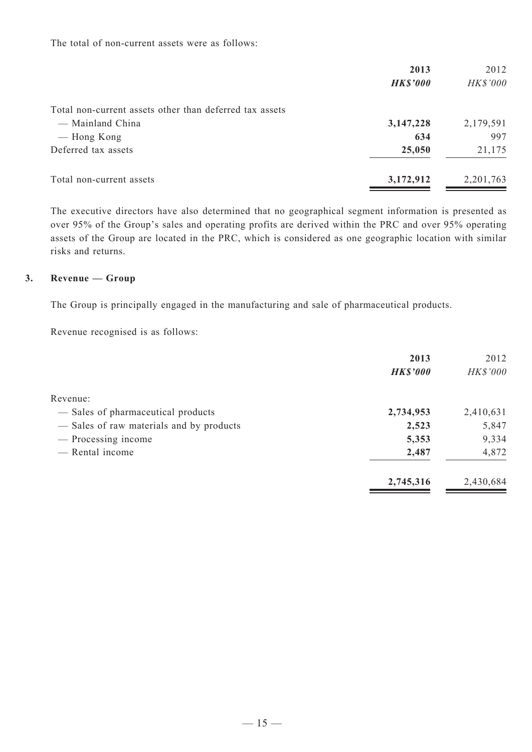The total of non-current assets were as follows:

|                                                         | 2013            | 2012            |
|---------------------------------------------------------|-----------------|-----------------|
|                                                         | <b>HK\$'000</b> | <b>HK\$'000</b> |
| Total non-current assets other than deferred tax assets |                 |                 |
| — Mainland China                                        | 3,147,228       | 2,179,591       |
| — Hong Kong                                             | 634             | 997             |
| Deferred tax assets                                     | 25,050          | 21,175          |
| Total non-current assets                                | 3,172,912       | 2,201,763       |

The executive directors have also determined that no geographical segment information is presented as over 95% of the Group's sales and operating profits are derived within the PRC and over 95% operating assets of the Group are located in the PRC, which is considered as one geographic location with similar risks and returns.

#### **3. Revenue — Group**

The Group is principally engaged in the manufacturing and sale of pharmaceutical products.

Revenue recognised is as follows:

|                                          | 2013            | 2012      |
|------------------------------------------|-----------------|-----------|
|                                          | <b>HK\$'000</b> | HK\$'000  |
| Revenue:                                 |                 |           |
| — Sales of pharmaceutical products       | 2,734,953       | 2,410,631 |
| - Sales of raw materials and by products | 2,523           | 5,847     |
| - Processing income                      | 5,353           | 9,334     |
| — Rental income                          | 2,487           | 4,872     |
|                                          | 2,745,316       | 2,430,684 |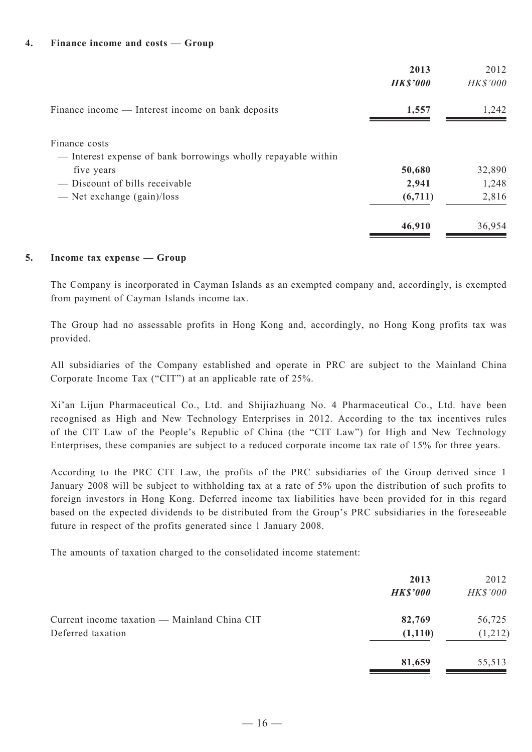#### **4. Finance income and costs — Group**

|                                                                                | 2013<br><b>HK\$'000</b> | 2012<br><b>HK\$'000</b> |
|--------------------------------------------------------------------------------|-------------------------|-------------------------|
| Finance income — Interest income on bank deposits                              | 1,557                   | 1,242                   |
| Finance costs<br>— Interest expense of bank borrowings wholly repayable within |                         |                         |
| five years                                                                     | 50,680                  | 32,890                  |
| — Discount of bills receivable                                                 | 2,941                   | 1,248                   |
| — Net exchange $(gain)/loss$                                                   | (6,711)                 | 2,816                   |
|                                                                                | 46,910                  | 36,954                  |

#### **5. Income tax expense — Group**

The Company is incorporated in Cayman Islands as an exempted company and, accordingly, is exempted from payment of Cayman Islands income tax.

The Group had no assessable profits in Hong Kong and, accordingly, no Hong Kong profits tax was provided.

All subsidiaries of the Company established and operate in PRC are subject to the Mainland China Corporate Income Tax ("CIT") at an applicable rate of 25%.

Xi'an Lijun Pharmaceutical Co., Ltd. and Shijiazhuang No. 4 Pharmaceutical Co., Ltd. have been recognised as High and New Technology Enterprises in 2012. According to the tax incentives rules of the CIT Law of the People's Republic of China (the "CIT Law") for High and New Technology Enterprises, these companies are subject to a reduced corporate income tax rate of 15% for three years.

According to the PRC CIT Law, the profits of the PRC subsidiaries of the Group derived since 1 January 2008 will be subject to withholding tax at a rate of 5% upon the distribution of such profits to foreign investors in Hong Kong. Deferred income tax liabilities have been provided for in this regard based on the expected dividends to be distributed from the Group's PRC subsidiaries in the foreseeable future in respect of the profits generated since 1 January 2008.

The amounts of taxation charged to the consolidated income statement:

|                                                                   | 2013<br><b>HK\$'000</b> | 2012<br>HK\$'000  |
|-------------------------------------------------------------------|-------------------------|-------------------|
| Current income taxation — Mainland China CIT<br>Deferred taxation | 82,769<br>(1,110)       | 56,725<br>(1,212) |
|                                                                   | 81,659                  | 55,513            |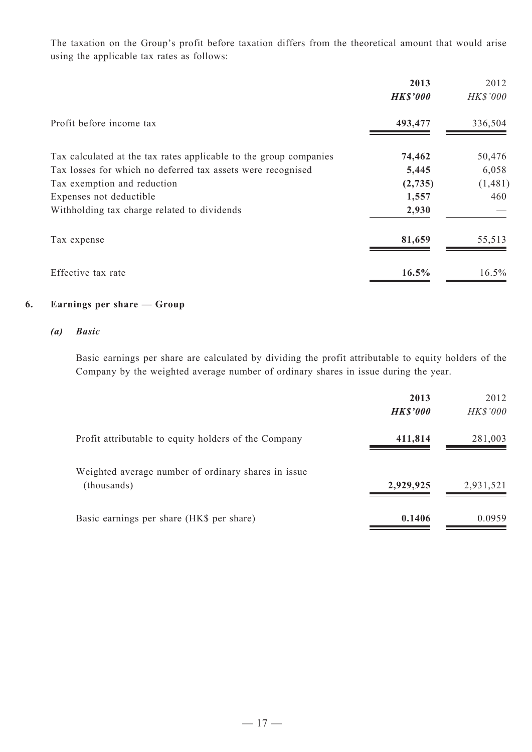The taxation on the Group's profit before taxation differs from the theoretical amount that would arise using the applicable tax rates as follows:

|                                                                   | 2013            | 2012            |
|-------------------------------------------------------------------|-----------------|-----------------|
|                                                                   | <b>HK\$'000</b> | <b>HK\$'000</b> |
| Profit before income tax                                          | 493,477         | 336,504         |
| Tax calculated at the tax rates applicable to the group companies | 74,462          | 50,476          |
| Tax losses for which no deferred tax assets were recognised       | 5,445           | 6,058           |
| Tax exemption and reduction                                       | (2,735)         | (1,481)         |
| Expenses not deductible                                           | 1,557           | 460             |
| Withholding tax charge related to dividends                       | 2,930           |                 |
| Tax expense                                                       | 81,659          | 55,513          |
| Effective tax rate                                                | 16.5%           | $16.5\%$        |

## **6. Earnings per share — Group**

#### *(a) Basic*

Basic earnings per share are calculated by dividing the profit attributable to equity holders of the Company by the weighted average number of ordinary shares in issue during the year.

|                                                      | 2013            | 2012            |
|------------------------------------------------------|-----------------|-----------------|
|                                                      | <b>HK\$'000</b> | <b>HK\$'000</b> |
| Profit attributable to equity holders of the Company | 411,814         | 281,003         |
| Weighted average number of ordinary shares in issue  |                 |                 |
| (thousands)                                          | 2,929,925       | 2,931,521       |
| Basic earnings per share (HK\$ per share)            | 0.1406          | 0.0959          |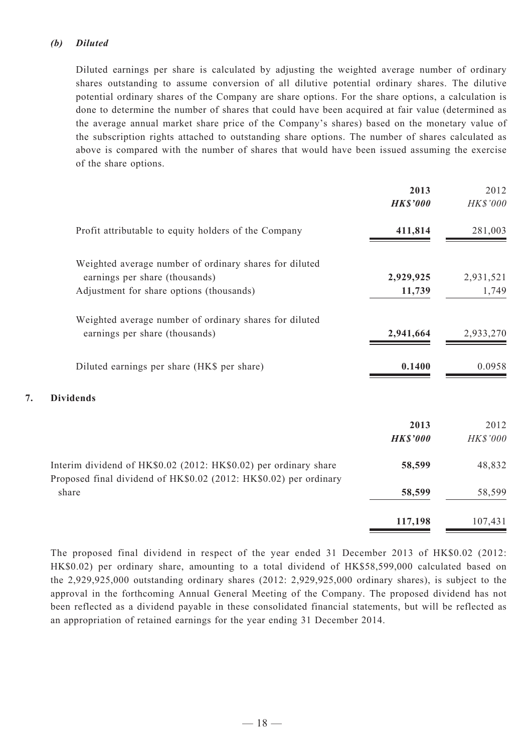#### *(b) Diluted*

Diluted earnings per share is calculated by adjusting the weighted average number of ordinary shares outstanding to assume conversion of all dilutive potential ordinary shares. The dilutive potential ordinary shares of the Company are share options. For the share options, a calculation is done to determine the number of shares that could have been acquired at fair value (determined as the average annual market share price of the Company's shares) based on the monetary value of the subscription rights attached to outstanding share options. The number of shares calculated as above is compared with the number of shares that would have been issued assuming the exercise of the share options.

|                                                                                                                                      | 2013<br><b>HK\$'000</b> | 2012<br>HK\$'000        |
|--------------------------------------------------------------------------------------------------------------------------------------|-------------------------|-------------------------|
| Profit attributable to equity holders of the Company                                                                                 | 411,814                 | 281,003                 |
| Weighted average number of ordinary shares for diluted<br>earnings per share (thousands)<br>Adjustment for share options (thousands) | 2,929,925<br>11,739     | 2,931,521<br>1,749      |
| Weighted average number of ordinary shares for diluted<br>earnings per share (thousands)                                             | 2,941,664               | 2,933,270               |
| Diluted earnings per share (HK\$ per share)                                                                                          | 0.1400                  | 0.0958                  |
| 7.<br><b>Dividends</b>                                                                                                               |                         |                         |
|                                                                                                                                      | 2013<br><b>HK\$'000</b> | 2012<br><b>HK\$'000</b> |
| Interim dividend of HK\$0.02 (2012: HK\$0.02) per ordinary share                                                                     | 58,599                  | 48,832                  |
| Proposed final dividend of HK\$0.02 (2012: HK\$0.02) per ordinary<br>share                                                           | 58,599                  | 58,599                  |
|                                                                                                                                      | 117,198                 | 107,431                 |

The proposed final dividend in respect of the year ended 31 December 2013 of HK\$0.02 (2012: HK\$0.02) per ordinary share, amounting to a total dividend of HK\$58,599,000 calculated based on the 2,929,925,000 outstanding ordinary shares (2012: 2,929,925,000 ordinary shares), is subject to the approval in the forthcoming Annual General Meeting of the Company. The proposed dividend has not been reflected as a dividend payable in these consolidated financial statements, but will be reflected as an appropriation of retained earnings for the year ending 31 December 2014.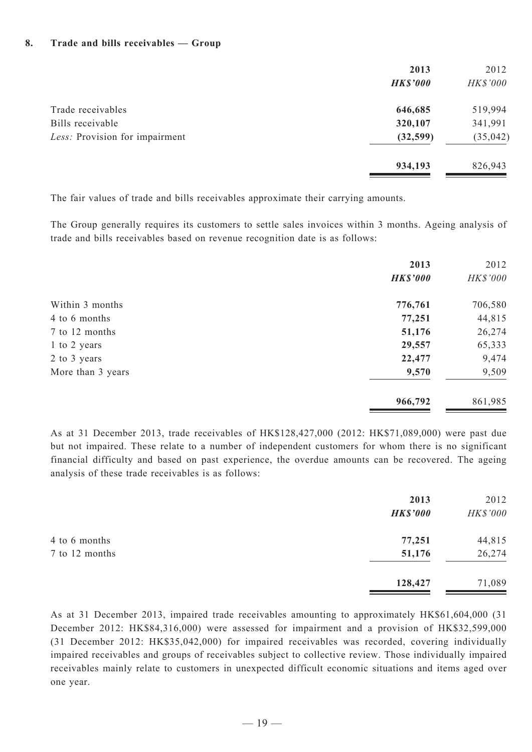#### **8. Trade and bills receivables — Group**

|                                | 2013<br><b>HK\$'000</b> | 2012<br><b>HK\$'000</b> |
|--------------------------------|-------------------------|-------------------------|
| Trade receivables              | 646,685                 | 519,994                 |
| Bills receivable               | 320,107                 | 341,991                 |
| Less: Provision for impairment | (32,599)                | (35, 042)               |
|                                | 934,193                 | 826,943                 |

The fair values of trade and bills receivables approximate their carrying amounts.

The Group generally requires its customers to settle sales invoices within 3 months. Ageing analysis of trade and bills receivables based on revenue recognition date is as follows:

|                   | 2013            | 2012     |
|-------------------|-----------------|----------|
|                   | <b>HK\$'000</b> | HK\$'000 |
| Within 3 months   | 776,761         | 706,580  |
| 4 to 6 months     | 77,251          | 44,815   |
| 7 to 12 months    | 51,176          | 26,274   |
| 1 to 2 years      | 29,557          | 65,333   |
| 2 to 3 years      | 22,477          | 9,474    |
| More than 3 years | 9,570           | 9,509    |
|                   | 966,792         | 861,985  |

As at 31 December 2013, trade receivables of HK\$128,427,000 (2012: HK\$71,089,000) were past due but not impaired. These relate to a number of independent customers for whom there is no significant financial difficulty and based on past experience, the overdue amounts can be recovered. The ageing analysis of these trade receivables is as follows:

|                | 2013<br><b>HK\$'000</b> | 2012<br>HK\$'000 |
|----------------|-------------------------|------------------|
| 4 to 6 months  | 77,251                  | 44,815           |
| 7 to 12 months | 51,176                  | 26,274           |
|                | 128,427                 | 71,089           |

As at 31 December 2013, impaired trade receivables amounting to approximately HK\$61,604,000 (31 December 2012: HK\$84,316,000) were assessed for impairment and a provision of HK\$32,599,000 (31 December 2012: HK\$35,042,000) for impaired receivables was recorded, covering individually impaired receivables and groups of receivables subject to collective review. Those individually impaired receivables mainly relate to customers in unexpected difficult economic situations and items aged over one year.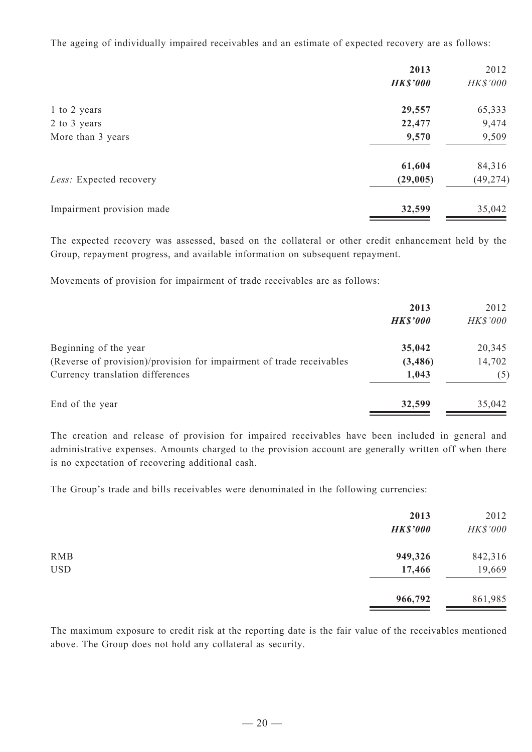The ageing of individually impaired receivables and an estimate of expected recovery are as follows:

|                           | 2013            | 2012      |
|---------------------------|-----------------|-----------|
|                           | <b>HK\$'000</b> | HK\$'000  |
| 1 to 2 years              | 29,557          | 65,333    |
| 2 to 3 years              | 22,477          | 9,474     |
| More than 3 years         | 9,570           | 9,509     |
|                           | 61,604          | 84,316    |
| Less: Expected recovery   | (29,005)        | (49, 274) |
| Impairment provision made | 32,599          | 35,042    |

The expected recovery was assessed, based on the collateral or other credit enhancement held by the Group, repayment progress, and available information on subsequent repayment.

Movements of provision for impairment of trade receivables are as follows:

|                                                                      | 2013            | 2012     |
|----------------------------------------------------------------------|-----------------|----------|
|                                                                      | <b>HK\$'000</b> | HK\$'000 |
| Beginning of the year                                                | 35,042          | 20,345   |
| (Reverse of provision)/provision for impairment of trade receivables | (3,486)         | 14,702   |
| Currency translation differences                                     | 1,043           | (5)      |
| End of the year                                                      | 32,599          | 35,042   |

The creation and release of provision for impaired receivables have been included in general and administrative expenses. Amounts charged to the provision account are generally written off when there is no expectation of recovering additional cash.

The Group's trade and bills receivables were denominated in the following currencies:

|            | 2013<br><b>HK\$'000</b> | 2012<br>HK\$'000 |
|------------|-------------------------|------------------|
| <b>RMB</b> | 949,326                 | 842,316          |
| <b>USD</b> | 17,466                  | 19,669           |
|            | 966,792                 | 861,985          |

The maximum exposure to credit risk at the reporting date is the fair value of the receivables mentioned above. The Group does not hold any collateral as security.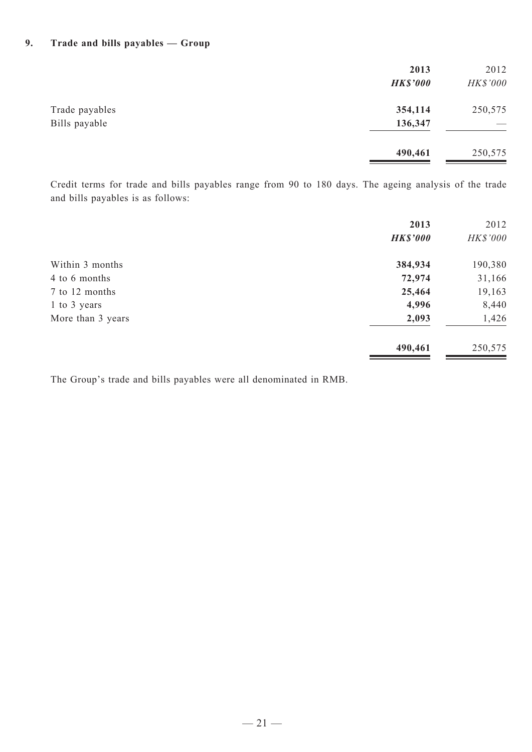#### **9. Trade and bills payables — Group**

|                                 | 2013<br><b>HK\$'000</b> | 2012<br>HK\$'000 |
|---------------------------------|-------------------------|------------------|
| Trade payables<br>Bills payable | 354,114<br>136,347      | 250,575          |
|                                 | 490,461                 | 250,575          |

Credit terms for trade and bills payables range from 90 to 180 days. The ageing analysis of the trade and bills payables is as follows:

|                   | 2013<br><b>HK\$'000</b> | 2012<br><b>HK\$'000</b> |
|-------------------|-------------------------|-------------------------|
| Within 3 months   | 384,934                 | 190,380                 |
| 4 to 6 months     | 72,974                  | 31,166                  |
| 7 to 12 months    | 25,464                  | 19,163                  |
| 1 to 3 years      | 4,996                   | 8,440                   |
| More than 3 years | 2,093                   | 1,426                   |
|                   | 490,461                 | 250,575                 |

The Group's trade and bills payables were all denominated in RMB.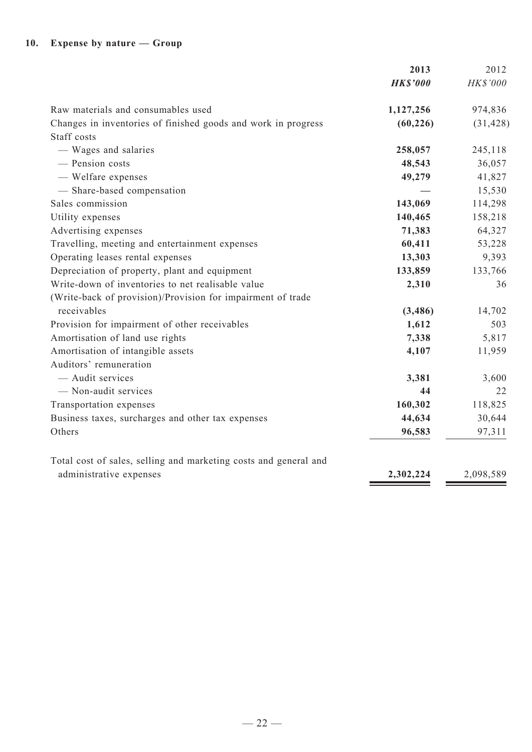|                                                                  | 2013            | 2012      |
|------------------------------------------------------------------|-----------------|-----------|
|                                                                  | <b>HK\$'000</b> | HK\$'000  |
| Raw materials and consumables used                               | 1,127,256       | 974,836   |
| Changes in inventories of finished goods and work in progress    | (60, 226)       | (31, 428) |
| Staff costs                                                      |                 |           |
| - Wages and salaries                                             | 258,057         | 245,118   |
| - Pension costs                                                  | 48,543          | 36,057    |
| - Welfare expenses                                               | 49,279          | 41,827    |
| - Share-based compensation                                       |                 | 15,530    |
| Sales commission                                                 | 143,069         | 114,298   |
| Utility expenses                                                 | 140,465         | 158,218   |
| Advertising expenses                                             | 71,383          | 64,327    |
| Travelling, meeting and entertainment expenses                   | 60,411          | 53,228    |
| Operating leases rental expenses                                 | 13,303          | 9,393     |
| Depreciation of property, plant and equipment                    | 133,859         | 133,766   |
| Write-down of inventories to net realisable value                | 2,310           | 36        |
| (Write-back of provision)/Provision for impairment of trade      |                 |           |
| receivables                                                      | (3, 486)        | 14,702    |
| Provision for impairment of other receivables                    | 1,612           | 503       |
| Amortisation of land use rights                                  | 7,338           | 5,817     |
| Amortisation of intangible assets                                | 4,107           | 11,959    |
| Auditors' remuneration                                           |                 |           |
| - Audit services                                                 | 3,381           | 3,600     |
| - Non-audit services                                             | 44              | 22        |
| Transportation expenses                                          | 160,302         | 118,825   |
| Business taxes, surcharges and other tax expenses                | 44,634          | 30,644    |
| Others                                                           | 96,583          | 97,311    |
| Total cost of sales, selling and marketing costs and general and |                 |           |
| administrative expenses                                          | 2,302,224       | 2,098,589 |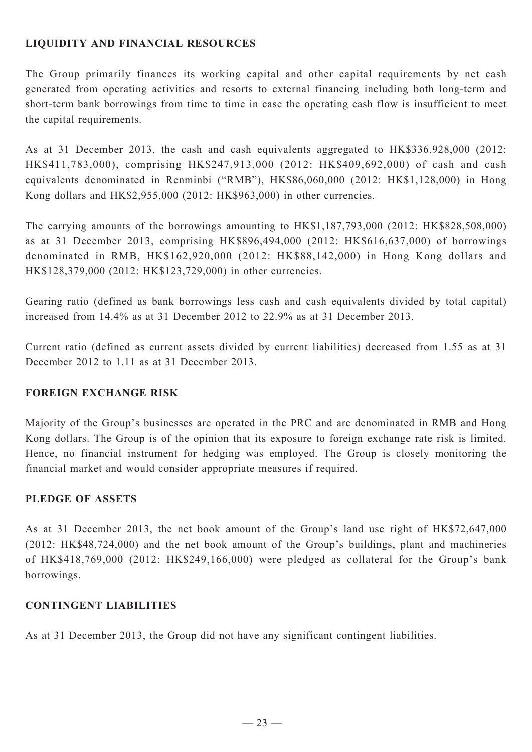# **LIQUIDITY AND FINANCIAL RESOURCES**

The Group primarily finances its working capital and other capital requirements by net cash generated from operating activities and resorts to external financing including both long-term and short-term bank borrowings from time to time in case the operating cash flow is insufficient to meet the capital requirements.

As at 31 December 2013, the cash and cash equivalents aggregated to HK\$336,928,000 (2012: HK\$411,783,000), comprising HK\$247,913,000 (2012: HK\$409,692,000) of cash and cash equivalents denominated in Renminbi ("RMB"), HK\$86,060,000 (2012: HK\$1,128,000) in Hong Kong dollars and HK\$2,955,000 (2012: HK\$963,000) in other currencies.

The carrying amounts of the borrowings amounting to HK\$1,187,793,000 (2012: HK\$828,508,000) as at 31 December 2013, comprising HK\$896,494,000 (2012: HK\$616,637,000) of borrowings denominated in RMB, HK\$162,920,000 (2012: HK\$88,142,000) in Hong Kong dollars and HK\$128,379,000 (2012: HK\$123,729,000) in other currencies.

Gearing ratio (defined as bank borrowings less cash and cash equivalents divided by total capital) increased from 14.4% as at 31 December 2012 to 22.9% as at 31 December 2013.

Current ratio (defined as current assets divided by current liabilities) decreased from 1.55 as at 31 December 2012 to 1.11 as at 31 December 2013.

# **FOREIGN EXCHANGE RISK**

Majority of the Group's businesses are operated in the PRC and are denominated in RMB and Hong Kong dollars. The Group is of the opinion that its exposure to foreign exchange rate risk is limited. Hence, no financial instrument for hedging was employed. The Group is closely monitoring the financial market and would consider appropriate measures if required.

# **PLEDGE OF ASSETS**

As at 31 December 2013, the net book amount of the Group's land use right of HK\$72,647,000 (2012: HK\$48,724,000) and the net book amount of the Group's buildings, plant and machineries of HK\$418,769,000 (2012: HK\$249,166,000) were pledged as collateral for the Group's bank borrowings.

# **CONTINGENT LIABILITIES**

As at 31 December 2013, the Group did not have any significant contingent liabilities.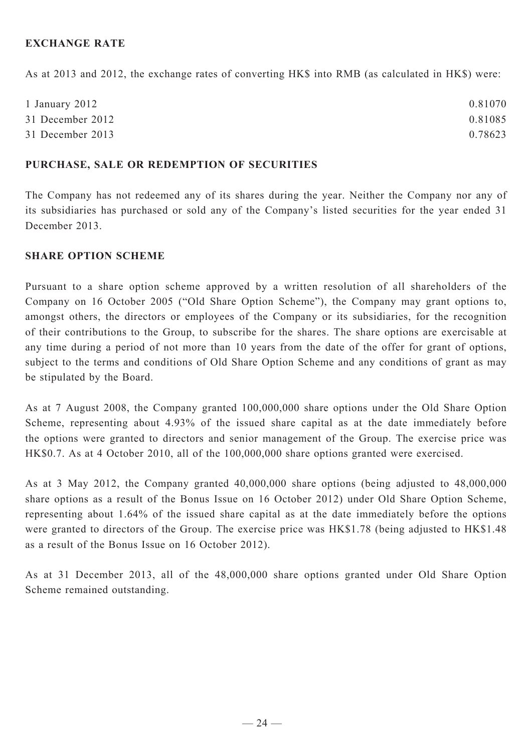# **EXCHANGE RATE**

As at 2013 and 2012, the exchange rates of converting HK\$ into RMB (as calculated in HK\$) were:

| 1 January 2012   | 0.81070 |
|------------------|---------|
| 31 December 2012 | 0.81085 |
| 31 December 2013 | 0.78623 |

#### **PURCHASE, SALE OR REDEMPTION OF SECURITIES**

The Company has not redeemed any of its shares during the year. Neither the Company nor any of its subsidiaries has purchased or sold any of the Company's listed securities for the year ended 31 December 2013.

#### **SHARE OPTION SCHEME**

Pursuant to a share option scheme approved by a written resolution of all shareholders of the Company on 16 October 2005 ("Old Share Option Scheme"), the Company may grant options to, amongst others, the directors or employees of the Company or its subsidiaries, for the recognition of their contributions to the Group, to subscribe for the shares. The share options are exercisable at any time during a period of not more than 10 years from the date of the offer for grant of options, subject to the terms and conditions of Old Share Option Scheme and any conditions of grant as may be stipulated by the Board.

As at 7 August 2008, the Company granted 100,000,000 share options under the Old Share Option Scheme, representing about 4.93% of the issued share capital as at the date immediately before the options were granted to directors and senior management of the Group. The exercise price was HK\$0.7. As at 4 October 2010, all of the 100,000,000 share options granted were exercised.

As at 3 May 2012, the Company granted 40,000,000 share options (being adjusted to 48,000,000 share options as a result of the Bonus Issue on 16 October 2012) under Old Share Option Scheme, representing about 1.64% of the issued share capital as at the date immediately before the options were granted to directors of the Group. The exercise price was HK\$1.78 (being adjusted to HK\$1.48 as a result of the Bonus Issue on 16 October 2012).

As at 31 December 2013, all of the 48,000,000 share options granted under Old Share Option Scheme remained outstanding.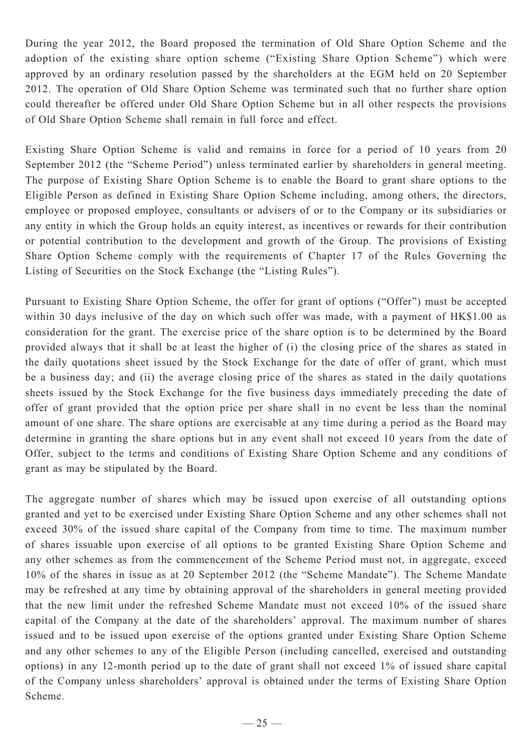During the year 2012, the Board proposed the termination of Old Share Option Scheme and the adoption of the existing share option scheme ("Existing Share Option Scheme") which were approved by an ordinary resolution passed by the shareholders at the EGM held on 20 September 2012. The operation of Old Share Option Scheme was terminated such that no further share option could thereafter be offered under Old Share Option Scheme but in all other respects the provisions of Old Share Option Scheme shall remain in full force and effect.

Existing Share Option Scheme is valid and remains in force for a period of 10 years from 20 September 2012 (the "Scheme Period") unless terminated earlier by shareholders in general meeting. The purpose of Existing Share Option Scheme is to enable the Board to grant share options to the Eligible Person as defined in Existing Share Option Scheme including, among others, the directors, employee or proposed employee, consultants or advisers of or to the Company or its subsidiaries or any entity in which the Group holds an equity interest, as incentives or rewards for their contribution or potential contribution to the development and growth of the Group. The provisions of Existing Share Option Scheme comply with the requirements of Chapter 17 of the Rules Governing the Listing of Securities on the Stock Exchange (the "Listing Rules").

Pursuant to Existing Share Option Scheme, the offer for grant of options ("Offer") must be accepted within 30 days inclusive of the day on which such offer was made, with a payment of HK\$1.00 as consideration for the grant. The exercise price of the share option is to be determined by the Board provided always that it shall be at least the higher of (i) the closing price of the shares as stated in the daily quotations sheet issued by the Stock Exchange for the date of offer of grant, which must be a business day; and (ii) the average closing price of the shares as stated in the daily quotations sheets issued by the Stock Exchange for the five business days immediately preceding the date of offer of grant provided that the option price per share shall in no event be less than the nominal amount of one share. The share options are exercisable at any time during a period as the Board may determine in granting the share options but in any event shall not exceed 10 years from the date of Offer, subject to the terms and conditions of Existing Share Option Scheme and any conditions of grant as may be stipulated by the Board.

The aggregate number of shares which may be issued upon exercise of all outstanding options granted and yet to be exercised under Existing Share Option Scheme and any other schemes shall not exceed 30% of the issued share capital of the Company from time to time. The maximum number of shares issuable upon exercise of all options to be granted Existing Share Option Scheme and any other schemes as from the commencement of the Scheme Period must not, in aggregate, exceed 10% of the shares in issue as at 20 September 2012 (the "Scheme Mandate"). The Scheme Mandate may be refreshed at any time by obtaining approval of the shareholders in general meeting provided that the new limit under the refreshed Scheme Mandate must not exceed 10% of the issued share capital of the Company at the date of the shareholders' approval. The maximum number of shares issued and to be issued upon exercise of the options granted under Existing Share Option Scheme and any other schemes to any of the Eligible Person (including cancelled, exercised and outstanding options) in any 12-month period up to the date of grant shall not exceed 1% of issued share capital of the Company unless shareholders' approval is obtained under the terms of Existing Share Option Scheme.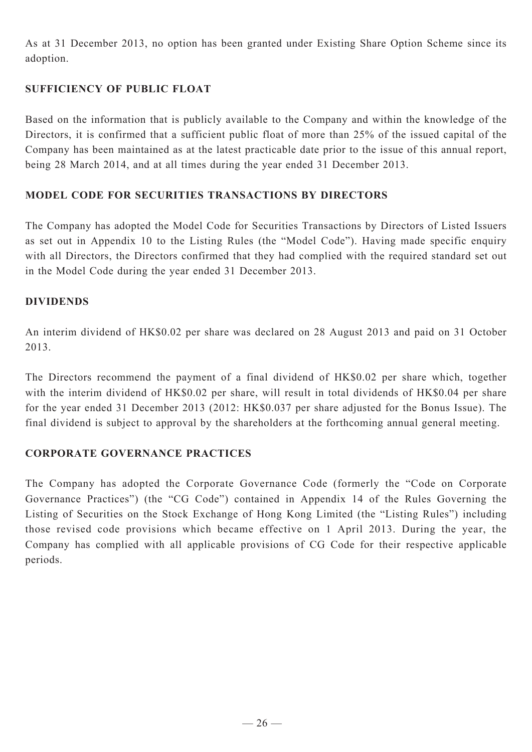As at 31 December 2013, no option has been granted under Existing Share Option Scheme since its adoption.

# **SUFFICIENCY OF PUBLIC FLOAT**

Based on the information that is publicly available to the Company and within the knowledge of the Directors, it is confirmed that a sufficient public float of more than 25% of the issued capital of the Company has been maintained as at the latest practicable date prior to the issue of this annual report, being 28 March 2014, and at all times during the year ended 31 December 2013.

## **MODEL CODE FOR SECURITIES TRANSACTIONS BY DIRECTORS**

The Company has adopted the Model Code for Securities Transactions by Directors of Listed Issuers as set out in Appendix 10 to the Listing Rules (the "Model Code"). Having made specific enquiry with all Directors, the Directors confirmed that they had complied with the required standard set out in the Model Code during the year ended 31 December 2013.

### **DIVIDENDS**

An interim dividend of HK\$0.02 per share was declared on 28 August 2013 and paid on 31 October 2013.

The Directors recommend the payment of a final dividend of HK\$0.02 per share which, together with the interim dividend of HK\$0.02 per share, will result in total dividends of HK\$0.04 per share for the year ended 31 December 2013 (2012: HK\$0.037 per share adjusted for the Bonus Issue). The final dividend is subject to approval by the shareholders at the forthcoming annual general meeting.

# **CORPORATE GOVERNANCE PRACTICES**

The Company has adopted the Corporate Governance Code (formerly the "Code on Corporate Governance Practices") (the "CG Code") contained in Appendix 14 of the Rules Governing the Listing of Securities on the Stock Exchange of Hong Kong Limited (the "Listing Rules") including those revised code provisions which became effective on 1 April 2013. During the year, the Company has complied with all applicable provisions of CG Code for their respective applicable periods.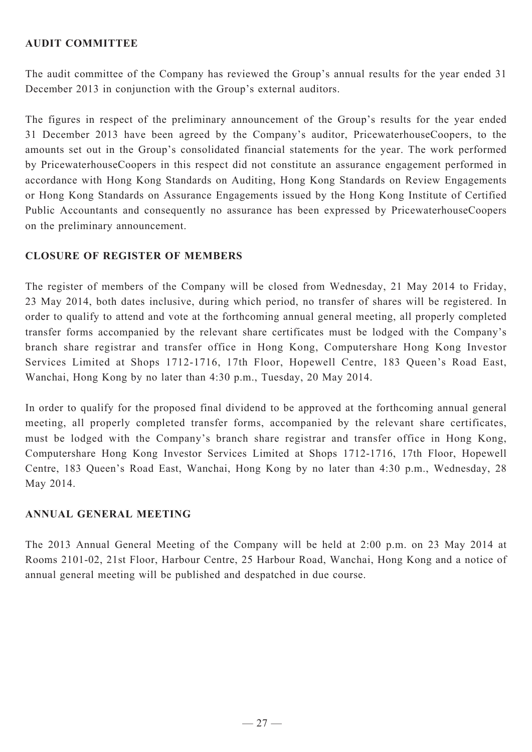## **AUDIT COMMITTEE**

The audit committee of the Company has reviewed the Group's annual results for the year ended 31 December 2013 in conjunction with the Group's external auditors.

The figures in respect of the preliminary announcement of the Group's results for the year ended 31 December 2013 have been agreed by the Company's auditor, PricewaterhouseCoopers, to the amounts set out in the Group's consolidated financial statements for the year. The work performed by PricewaterhouseCoopers in this respect did not constitute an assurance engagement performed in accordance with Hong Kong Standards on Auditing, Hong Kong Standards on Review Engagements or Hong Kong Standards on Assurance Engagements issued by the Hong Kong Institute of Certified Public Accountants and consequently no assurance has been expressed by PricewaterhouseCoopers on the preliminary announcement.

### **CLOSURE OF REGISTER OF MEMBERS**

The register of members of the Company will be closed from Wednesday, 21 May 2014 to Friday, 23 May 2014, both dates inclusive, during which period, no transfer of shares will be registered. In order to qualify to attend and vote at the forthcoming annual general meeting, all properly completed transfer forms accompanied by the relevant share certificates must be lodged with the Company's branch share registrar and transfer office in Hong Kong, Computershare Hong Kong Investor Services Limited at Shops 1712-1716, 17th Floor, Hopewell Centre, 183 Queen's Road East, Wanchai, Hong Kong by no later than 4:30 p.m., Tuesday, 20 May 2014.

In order to qualify for the proposed final dividend to be approved at the forthcoming annual general meeting, all properly completed transfer forms, accompanied by the relevant share certificates, must be lodged with the Company's branch share registrar and transfer office in Hong Kong, Computershare Hong Kong Investor Services Limited at Shops 1712-1716, 17th Floor, Hopewell Centre, 183 Queen's Road East, Wanchai, Hong Kong by no later than 4:30 p.m., Wednesday, 28 May 2014.

# **ANNUAL GENERAL MEETING**

The 2013 Annual General Meeting of the Company will be held at 2:00 p.m. on 23 May 2014 at Rooms 2101-02, 21st Floor, Harbour Centre, 25 Harbour Road, Wanchai, Hong Kong and a notice of annual general meeting will be published and despatched in due course.